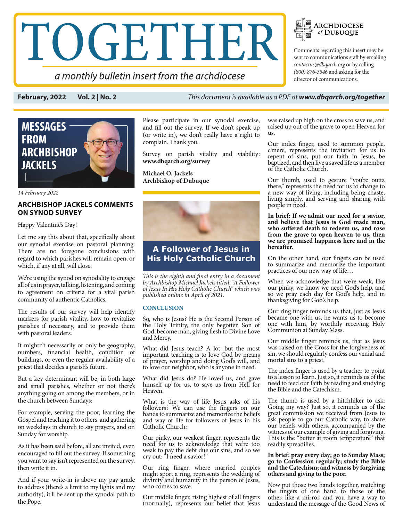# TOGETHER

a monthly bulletin insert from the archdiocese

**ARCHDIOCESE** of DUBUQUE  $\mathbb{R}$   $\mathbb{R}$ 

Comments regarding this insert may be sent to communications staff by emailing *contactus@dbqarch.org* or by calling *(800) 876-3546* and asking for the director of communications.

**February, 2022 Vol. 2 | No. 2** *This document is available as a PDF at www.dbqarch.org/together*



*14 February 2022* 

## **ARCHBISHOP JACKELS COMMENTS ON SYNOD SURVEY**

Happy Valentine's Day!

Let me say this about that, specifically about our synodal exercise on pastoral planning: There are no foregone conclusions with regard to which parishes will remain open, or which, if any at all, will close.

We're using the synod on synodality to engage all of us in prayer, talking, listening, and coming to agreement on criteria for a vital parish community of authentic Catholics.

The results of our survey will help identify markers for parish vitality, how to revitalize parishes if necessary, and to provide them with pastoral leaders.

It mightn't necessarily or only be geography, numbers, financial health, condition of buildings, or even the regular availability of a priest that decides a parish's future.

But a key determinant will be, in both large and small parishes, whether or not there's anything going on among the members, or in the church between Sundays:

For example, serving the poor, learning the Gospel and teaching it to others, and gathering on weekdays in church to say prayers, and on Sunday for worship.

As it has been said before, all are invited, even encouraged to fill out the survey. If something you want to say isn't represented on the survey, then write it in.

And if your write-in is above my pay grade to address (there's a limit to my lights and my authority), it'll be sent up the synodal path to the Pope.

Please participate in our synodal exercise, and fill out the survey. If we don't speak up (or write in), we don't really have a right to complain. Thank you.

Survey on parish vitality and viability: **www.dbqarch.org/survey**

**Michael O. Jackels Archbishop of Dubuque** 



# **A Follower of Jesus in His Holy Catholic Church**

*This is the eighth and final entry in a document by Archbishop Michael Jackels titled, "A Follower of Jesus In His Holy Catholic Church" which was published online in April of 2021.*

### **CONCLUSION**

So, who is Jesus? He is the Second Person of the Holy Trinity, the only begotten Son of God, become man, giving flesh to Divine Love and Mercy.

What did Jesus teach? A lot, but the most important teaching is to love God by means of prayer, worship and doing God's will, and to love our neighbor, who is anyone in need.

What did Jesus do? He loved us, and gave himself up for us, to save us from Hell for Heaven.

What is the way of life Jesus asks of his followers? We can use the fingers on our hands to summarize and memorize the beliefs and way of life for followers of Jesus in his Catholic Church:

Our pinky, our weakest finger, represents the need for us to acknowledge that we're too weak to pay the debt due our sins, and so we cry out: "I need a savior!"

Our ring finger, where married couples might sport a ring, represents the wedding of divinity and humanity in the person of Jesus, who comes to save.

Our middle finger, rising highest of all fingers (normally), represents our belief that Jesus was raised up high on the cross to save us, and raised up out of the grave to open Heaven for us.

Our index finger, used to summon people, c'mere, represents the invitation for us to repent of sins, put our faith in Jesus, be baptized, and then live a saved life as a member of the Catholic Church.

Our thumb, used to gesture "you're outta there," represents the need for us to change to a new way of living, including being chaste, living simply, and serving and sharing with people in need.

**In brief: If we admit our need for a savior, and believe that Jesus is God made man, who suffered death to redeem us, and rose from the grave to open heaven to us, then we are promised happiness here and in the hereafter.**

On the other hand, our fingers can be used to summarize and memorize the important practices of our new way of life…

When we acknowledge that we're weak, like our pinky, we know we need God's help, and so we pray each day for God's help, and in thanksgiving for God's help.

Our ring finger reminds us that, just as Jesus became one with us, he wants us to become one with him, by worthily receiving Holy Communion at Sunday Mass.

Our middle finger reminds us, that as Jesus was raised on the Cross for the forgiveness of sin, we should regularly confess our venial and mortal sins to a priest.

The index finger is used by a teacher to point to a lesson to learn. Just so, it reminds us of the need to feed our faith by reading and studying the Bible and the Catechism.

The thumb is used by a hitchhiker to ask: Going my way? Just so, it reminds us of the great commission we received from Jesus to ask people to go our Catholic way, to share our beliefs with others, accompanied by the witness of our example of giving and forgiving. This is the "butter at room temperature" that readily spreadilies.

### **In brief: pray every day; go to Sunday Mass; go to Confession regularly; study the Bible and the Catechism; and witness by forgiving others and giving to the poor.**

Now put those two hands together, matching the fingers of one hand to those of the other, like a mirror, and you have a way to understand the message of the Good News of